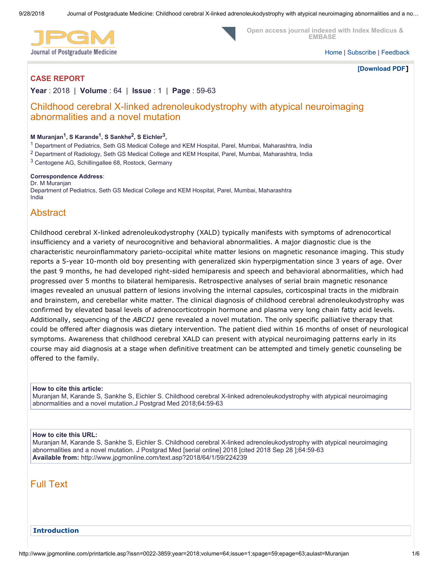

 **Open access journal indexed with Index Medicus & EMBASE** 

[Home](http://www.jpgmonline.com/) | [Subscribe](http://www.jpgmonline.com/subscribe.asp) | [Feedback](http://www.jpgmonline.com/feedback.asp)

**[\[Download PDF](http://www.jpgmonline.com/article.asp?issn=0022-3859;year=2018;volume=64;issue=1;spage=59;epage=63;aulast=Muranjan;type=2)]** 

## **CASE REPORT**

**Year** : 2018 | **Volume** : 64 | **Issue** : 1 | **Page** : 59-63

## Childhood cerebral X-linked adrenoleukodystrophy with atypical neuroimaging abnormalities and a novel mutation

#### **M Muranjan<sup>1</sup> , S Karande<sup>1</sup> , S Sankhe<sup>2</sup> , S Eichler<sup>3</sup> ,**

1 Department of Pediatrics, Seth GS Medical College and KEM Hospital, Parel, Mumbai, Maharashtra, India

2 Department of Radiology, Seth GS Medical College and KEM Hospital, Parel, Mumbai, Maharashtra, India

<sup>3</sup> Centogene AG, Schillingallee 68, Rostock, Germany

#### **Correspondence Address**:

Dr. M Muranjan Department of Pediatrics, Seth GS Medical College and KEM Hospital, Parel, Mumbai, Maharashtra India

# Abstract

Childhood cerebral X-linked adrenoleukodystrophy (XALD) typically manifests with symptoms of adrenocortical insufficiency and a variety of neurocognitive and behavioral abnormalities. A major diagnostic clue is the characteristic neuroinflammatory parieto-occipital white matter lesions on magnetic resonance imaging. This study reports a 5-year 10-month old boy presenting with generalized skin hyperpigmentation since 3 years of age. Over the past 9 months, he had developed right-sided hemiparesis and speech and behavioral abnormalities, which had progressed over 5 months to bilateral hemiparesis. Retrospective analyses of serial brain magnetic resonance images revealed an unusual pattern of lesions involving the internal capsules, corticospinal tracts in the midbrain and brainstem, and cerebellar white matter. The clinical diagnosis of childhood cerebral adrenoleukodystrophy was confirmed by elevated basal levels of adrenocorticotropin hormone and plasma very long chain fatty acid levels. Additionally, sequencing of the *ABCD1* gene revealed a novel mutation. The only specific palliative therapy that could be offered after diagnosis was dietary intervention. The patient died within 16 months of onset of neurological symptoms. Awareness that childhood cerebral XALD can present with atypical neuroimaging patterns early in its course may aid diagnosis at a stage when definitive treatment can be attempted and timely genetic counseling be offered to the family.

#### **How to cite this article:**

Muranjan M, Karande S, Sankhe S, Eichler S. Childhood cerebral X-linked adrenoleukodystrophy with atypical neuroimaging abnormalities and a novel mutation.J Postgrad Med 2018;64:59-63

#### **How to cite this URL:**

Muranjan M, Karande S, Sankhe S, Eichler S. Childhood cerebral X-linked adrenoleukodystrophy with atypical neuroimaging abnormalities and a novel mutation. J Postgrad Med [serial online] 2018 [cited 2018 Sep 28 ];64:59-63 **Available from:** http://www.jpgmonline.com/text.asp?2018/64/1/59/224239

## Full Text

### **Introduction**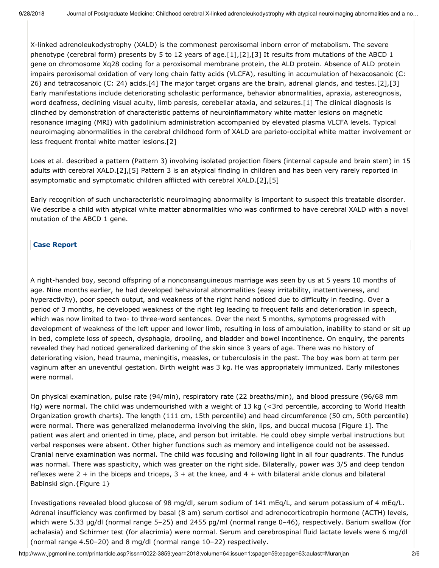X-linked adrenoleukodystrophy (XALD) is the commonest peroxisomal inborn error of metabolism. The severe phenotype (cerebral form) presents by 5 to 12 years of age.[1],[2],[3] It results from mutations of the ABCD 1 gene on chromosome Xq28 coding for a peroxisomal membrane protein, the ALD protein. Absence of ALD protein impairs peroxisomal oxidation of very long chain fatty acids (VLCFA), resulting in accumulation of hexacosanoic (C: 26) and tetracosanoic (C: 24) acids.[4] The major target organs are the brain, adrenal glands, and testes.[2],[3] Early manifestations include deteriorating scholastic performance, behavior abnormalities, apraxia, astereognosis, word deafness, declining visual acuity, limb paresis, cerebellar ataxia, and seizures.[1] The clinical diagnosis is clinched by demonstration of characteristic patterns of neuroinflammatory white matter lesions on magnetic resonance imaging (MRI) with gadolinium administration accompanied by elevated plasma VLCFA levels. Typical neuroimaging abnormalities in the cerebral childhood form of XALD are parieto-occipital white matter involvement or less frequent frontal white matter lesions.[2]

Loes et al. described a pattern (Pattern 3) involving isolated projection fibers (internal capsule and brain stem) in 15 adults with cerebral XALD.[2],[5] Pattern 3 is an atypical finding in children and has been very rarely reported in asymptomatic and symptomatic children afflicted with cerebral XALD.[2],[5]

Early recognition of such uncharacteristic neuroimaging abnormality is important to suspect this treatable disorder. We describe a child with atypical white matter abnormalities who was confirmed to have cerebral XALD with a novel mutation of the ABCD 1 gene.

#### **Case Report**

A right-handed boy, second offspring of a nonconsanguineous marriage was seen by us at 5 years 10 months of age. Nine months earlier, he had developed behavioral abnormalities (easy irritability, inattentiveness, and hyperactivity), poor speech output, and weakness of the right hand noticed due to difficulty in feeding. Over a period of 3 months, he developed weakness of the right leg leading to frequent falls and deterioration in speech, which was now limited to two- to three-word sentences. Over the next 5 months, symptoms progressed with development of weakness of the left upper and lower limb, resulting in loss of ambulation, inability to stand or sit up in bed, complete loss of speech, dysphagia, drooling, and bladder and bowel incontinence. On enquiry, the parents revealed they had noticed generalized darkening of the skin since 3 years of age. There was no history of deteriorating vision, head trauma, meningitis, measles, or tuberculosis in the past. The boy was born at term per vaginum after an uneventful gestation. Birth weight was 3 kg. He was appropriately immunized. Early milestones were normal.

On physical examination, pulse rate (94/min), respiratory rate (22 breaths/min), and blood pressure (96/68 mm Hg) were normal. The child was undernourished with a weight of 13 kg (<3rd percentile, according to World Health Organization growth charts). The length (111 cm, 15th percentile) and head circumference (50 cm, 50th percentile) were normal. There was generalized melanoderma involving the skin, lips, and buccal mucosa [Figure 1]. The patient was alert and oriented in time, place, and person but irritable. He could obey simple verbal instructions but verbal responses were absent. Other higher functions such as memory and intelligence could not be assessed. Cranial nerve examination was normal. The child was focusing and following light in all four quadrants. The fundus was normal. There was spasticity, which was greater on the right side. Bilaterally, power was 3/5 and deep tendon reflexes were  $2 +$  in the biceps and triceps,  $3 +$  at the knee, and  $4 +$  with bilateral ankle clonus and bilateral Babinski sign.{Figure 1}

Investigations revealed blood glucose of 98 mg/dl, serum sodium of 141 mEq/L, and serum potassium of 4 mEq/L. Adrenal insufficiency was confirmed by basal (8 am) serum cortisol and adrenocorticotropin hormone (ACTH) levels, which were 5.33 μg/dl (normal range 5–25) and 2455 pg/ml (normal range 0–46), respectively. Barium swallow (for achalasia) and Schirmer test (for alacrimia) were normal. Serum and cerebrospinal fluid lactate levels were 6 mg/dl (normal range 4.50–20) and 8 mg/dl (normal range 10–22) respectively.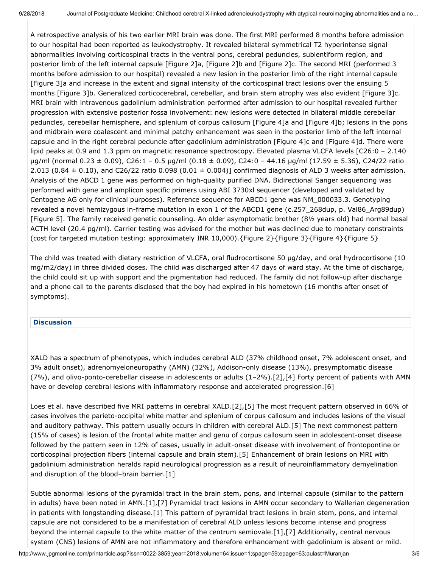A retrospective analysis of his two earlier MRI brain was done. The first MRI performed 8 months before admission to our hospital had been reported as leukodystrophy. It revealed bilateral symmetrical T2 hyperintense signal abnormalities involving corticospinal tracts in the ventral pons, cerebral peduncles, sublentiform region, and posterior limb of the left internal capsule [Figure 2]a, [Figure 2]b and [Figure 2]c. The second MRI (performed 3 months before admission to our hospital) revealed a new lesion in the posterior limb of the right internal capsule [Figure 3]a and increase in the extent and signal intensity of the corticospinal tract lesions over the ensuing 5 months [Figure 3]b. Generalized corticocerebral, cerebellar, and brain stem atrophy was also evident [Figure 3]c. MRI brain with intravenous gadolinium administration performed after admission to our hospital revealed further progression with extensive posterior fossa involvement: new lesions were detected in bilateral middle cerebellar peduncles, cerebellar hemisphere, and splenium of corpus callosum [Figure 4]a and [Figure 4]b; lesions in the pons and midbrain were coalescent and minimal patchy enhancement was seen in the posterior limb of the left internal capsule and in the right cerebral peduncle after gadolinium administration [Figure 4]c and [Figure 4]d. There were lipid peaks at 0.9 and 1.3 ppm on magnetic resonance spectroscopy. Elevated plasma VLCFA levels [C26:0 – 2.140 μg/ml (normal 0.23 ± 0.09), C26:1 – 0.5 μg/ml (0.18 ± 0.09), C24:0 – 44.16 μg/ml (17.59 ± 5.36), C24/22 ratio 2.013 (0.84  $\pm$  0.10), and C26/22 ratio 0.098 (0.01  $\pm$  0.004)] confirmed diagnosis of ALD 3 weeks after admission. Analysis of the ABCD 1 gene was performed on high-quality purified DNA. Bidirectional Sanger sequencing was performed with gene and amplicon specific primers using ABI 3730xl sequencer (developed and validated by Centogene AG only for clinical purposes). Reference sequence for ABCD1 gene was NM\_000033.3. Genotyping revealed a novel hemizygous in-frame mutation in exon 1 of the ABCD1 gene (c.257\_268dup, p. Val86\_Arg89dup) [Figure 5]. The family received genetic counseling. An older asymptomatic brother (8½ years old) had normal basal ACTH level (20.4 pg/ml). Carrier testing was advised for the mother but was declined due to monetary constraints (cost for targeted mutation testing: approximately INR 10,000).{Figure 2}{Figure 3}{Figure 4}{Figure 5}

The child was treated with dietary restriction of VLCFA, oral fludrocortisone 50 μg/day, and oral hydrocortisone (10 mg/m2/day) in three divided doses. The child was discharged after 47 days of ward stay. At the time of discharge, the child could sit up with support and the pigmentation had reduced. The family did not follow-up after discharge and a phone call to the parents disclosed that the boy had expired in his hometown (16 months after onset of symptoms).

### **Discussion**

XALD has a spectrum of phenotypes, which includes cerebral ALD (37% childhood onset, 7% adolescent onset, and 3% adult onset), adrenomyeloneuropathy (AMN) (32%), Addison-only disease (13%), presymptomatic disease (7%), and olivo-ponto-cerebellar disease in adolescents or adults (1–2%).[2],[4] Forty percent of patients with AMN have or develop cerebral lesions with inflammatory response and accelerated progression.[6]

Loes et al. have described five MRI patterns in cerebral XALD.[2],[5] The most frequent pattern observed in 66% of cases involves the parieto-occipital white matter and splenium of corpus callosum and includes lesions of the visual and auditory pathway. This pattern usually occurs in children with cerebral ALD.[5] The next commonest pattern (15% of cases) is lesion of the frontal white matter and genu of corpus callosum seen in adolescent-onset disease followed by the pattern seen in 12% of cases, usually in adult-onset disease with involvement of frontopontine or corticospinal projection fibers (internal capsule and brain stem).[5] Enhancement of brain lesions on MRI with gadolinium administration heralds rapid neurological progression as a result of neuroinflammatory demyelination and disruption of the blood–brain barrier.[1]

Subtle abnormal lesions of the pyramidal tract in the brain stem, pons, and internal capsule (similar to the pattern in adults) have been noted in AMN.[1],[7] Pyramidal tract lesions in AMN occur secondary to Wallerian degeneration in patients with longstanding disease.[1] This pattern of pyramidal tract lesions in brain stem, pons, and internal capsule are not considered to be a manifestation of cerebral ALD unless lesions become intense and progress beyond the internal capsule to the white matter of the centrum semiovale.[1],[7] Additionally, central nervous system (CNS) lesions of AMN are not inflammatory and therefore enhancement with gadolinium is absent or mild.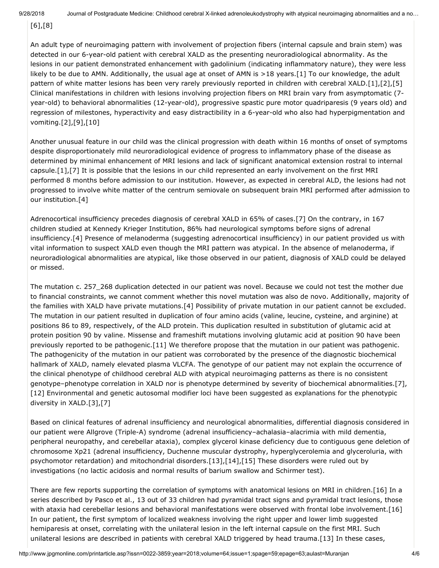[6],[8]

An adult type of neuroimaging pattern with involvement of projection fibers (internal capsule and brain stem) was detected in our 6-year-old patient with cerebral XALD as the presenting neuroradiological abnormality. As the lesions in our patient demonstrated enhancement with gadolinium (indicating inflammatory nature), they were less likely to be due to AMN. Additionally, the usual age at onset of AMN is >18 years.[1] To our knowledge, the adult pattern of white matter lesions has been very rarely previously reported in children with cerebral XALD.[1],[2],[5] Clinical manifestations in children with lesions involving projection fibers on MRI brain vary from asymptomatic (7 year-old) to behavioral abnormalities (12-year-old), progressive spastic pure motor quadriparesis (9 years old) and regression of milestones, hyperactivity and easy distractibility in a 6-year-old who also had hyperpigmentation and vomiting.[2],[9],[10]

Another unusual feature in our child was the clinical progression with death within 16 months of onset of symptoms despite disproportionately mild neuroradiological evidence of progress to inflammatory phase of the disease as determined by minimal enhancement of MRI lesions and lack of significant anatomical extension rostral to internal capsule.[1],[7] It is possible that the lesions in our child represented an early involvement on the first MRI performed 8 months before admission to our institution. However, as expected in cerebral ALD, the lesions had not progressed to involve white matter of the centrum semiovale on subsequent brain MRI performed after admission to our institution.[4]

Adrenocortical insufficiency precedes diagnosis of cerebral XALD in 65% of cases.[7] On the contrary, in 167 children studied at Kennedy Krieger Institution, 86% had neurological symptoms before signs of adrenal insufficiency.[4] Presence of melanoderma (suggesting adrenocortical insufficiency) in our patient provided us with vital information to suspect XALD even though the MRI pattern was atypical. In the absence of melanoderma, if neuroradiological abnormalities are atypical, like those observed in our patient, diagnosis of XALD could be delayed or missed.

The mutation c. 257\_268 duplication detected in our patient was novel. Because we could not test the mother due to financial constraints, we cannot comment whether this novel mutation was also de novo. Additionally, majority of the families with XALD have private mutations.[4] Possibility of private mutation in our patient cannot be excluded. The mutation in our patient resulted in duplication of four amino acids (valine, leucine, cysteine, and arginine) at positions 86 to 89, respectively, of the ALD protein. This duplication resulted in substitution of glutamic acid at protein position 90 by valine. Missense and frameshift mutations involving glutamic acid at position 90 have been previously reported to be pathogenic.[11] We therefore propose that the mutation in our patient was pathogenic. The pathogenicity of the mutation in our patient was corroborated by the presence of the diagnostic biochemical hallmark of XALD, namely elevated plasma VLCFA. The genotype of our patient may not explain the occurrence of the clinical phenotype of childhood cerebral ALD with atypical neuroimaging patterns as there is no consistent genotype–phenotype correlation in XALD nor is phenotype determined by severity of biochemical abnormalities.[7], [12] Environmental and genetic autosomal modifier loci have been suggested as explanations for the phenotypic diversity in XALD.[3],[7]

Based on clinical features of adrenal insufficiency and neurological abnormalities, differential diagnosis considered in our patient were Allgrove (Triple-A) syndrome (adrenal insufficiency–achalasia–alacrimia with mild dementia, peripheral neuropathy, and cerebellar ataxia), complex glycerol kinase deficiency due to contiguous gene deletion of chromosome Xp21 (adrenal insufficiency, Duchenne muscular dystrophy, hyperglycerolemia and glyceroluria, with psychomotor retardation) and mitochondrial disorders.[13],[14],[15] These disorders were ruled out by investigations (no lactic acidosis and normal results of barium swallow and Schirmer test).

There are few reports supporting the correlation of symptoms with anatomical lesions on MRI in children.[16] In a series described by Pasco et al., 13 out of 33 children had pyramidal tract signs and pyramidal tract lesions, those with ataxia had cerebellar lesions and behavioral manifestations were observed with frontal lobe involvement.[16] In our patient, the first symptom of localized weakness involving the right upper and lower limb suggested hemiparesis at onset, correlating with the unilateral lesion in the left internal capsule on the first MRI. Such unilateral lesions are described in patients with cerebral XALD triggered by head trauma.[13] In these cases,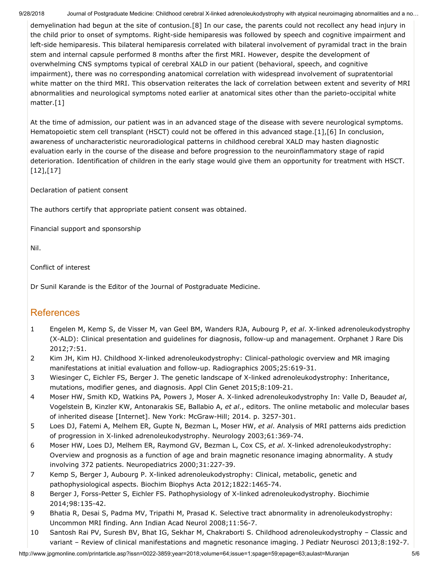9/28/2018 Journal of Postgraduate Medicine: Childhood cerebral X-linked adrenoleukodystrophy with atypical neuroimaging abnormalities and a no...

demyelination had begun at the site of contusion.[8] In our case, the parents could not recollect any head injury in the child prior to onset of symptoms. Right-side hemiparesis was followed by speech and cognitive impairment and left-side hemiparesis. This bilateral hemiparesis correlated with bilateral involvement of pyramidal tract in the brain stem and internal capsule performed 8 months after the first MRI. However, despite the development of overwhelming CNS symptoms typical of cerebral XALD in our patient (behavioral, speech, and cognitive impairment), there was no corresponding anatomical correlation with widespread involvement of supratentorial white matter on the third MRI. This observation reiterates the lack of correlation between extent and severity of MRI abnormalities and neurological symptoms noted earlier at anatomical sites other than the parieto-occipital white matter.[1]

At the time of admission, our patient was in an advanced stage of the disease with severe neurological symptoms. Hematopoietic stem cell transplant (HSCT) could not be offered in this advanced stage.[1],[6] In conclusion, awareness of uncharacteristic neuroradiological patterns in childhood cerebral XALD may hasten diagnostic evaluation early in the course of the disease and before progression to the neuroinflammatory stage of rapid deterioration. Identification of children in the early stage would give them an opportunity for treatment with HSCT. [12],[17]

Declaration of patient consent

The authors certify that appropriate patient consent was obtained.

Financial support and sponsorship

Nil.

Conflict of interest

Dr Sunil Karande is the Editor of the Journal of Postgraduate Medicine.

# **References**

- 1 Engelen M, Kemp S, de Visser M, van Geel BM, Wanders RJA, Aubourg P, *et al*. X-linked adrenoleukodystrophy (X-ALD): Clinical presentation and guidelines for diagnosis, follow-up and management. Orphanet J Rare Dis 2012;7:51.
- 2 Kim JH, Kim HJ. Childhood X-linked adrenoleukodystrophy: Clinical-pathologic overview and MR imaging manifestations at initial evaluation and follow-up. Radiographics 2005;25:619-31.
- 3 Wiesinger C, Eichler FS, Berger J. The genetic landscape of X-linked adrenoleukodystrophy: Inheritance, mutations, modifier genes, and diagnosis. Appl Clin Genet 2015;8:109-21.
- 4 Moser HW, Smith KD, Watkins PA, Powers J, Moser A. X-linked adrenoleukodystrophy In: Valle D, Beaud*et al*, Vogelstein B, Kinzler KW, Antonarakis SE, Ballabio A, *et al*., editors. The online metabolic and molecular bases of inherited disease [Internet]. New York: McGraw-Hill; 2014. p. 3257-301.
- 5 Loes DJ, Fatemi A, Melhem ER, Gupte N, Bezman L, Moser HW, *et al*. Analysis of MRI patterns aids prediction of progression in X-linked adrenoleukodystrophy. Neurology 2003;61:369-74.
- 6 Moser HW, Loes DJ, Melhem ER, Raymond GV, Bezman L, Cox CS, *et al*. X-linked adrenoleukodystrophy: Overview and prognosis as a function of age and brain magnetic resonance imaging abnormality. A study involving 372 patients. Neuropediatrics 2000;31:227-39.
- 7 Kemp S, Berger J, Aubourg P. X-linked adrenoleukodystrophy: Clinical, metabolic, genetic and pathophysiological aspects. Biochim Biophys Acta 2012;1822:1465-74.
- 8 Berger J, Forss-Petter S, Eichler FS. Pathophysiology of X-linked adrenoleukodystrophy. Biochimie 2014;98:135-42.
- 9 Bhatia R, Desai S, Padma MV, Tripathi M, Prasad K. Selective tract abnormality in adrenoleukodystrophy: Uncommon MRI finding. Ann Indian Acad Neurol 2008;11:56-7.
- 10 Santosh Rai PV, Suresh BV, Bhat IG, Sekhar M, Chakraborti S. Childhood adrenoleukodystrophy Classic and variant – Review of clinical manifestations and magnetic resonance imaging. J Pediatr Neurosci 2013;8:192-7.